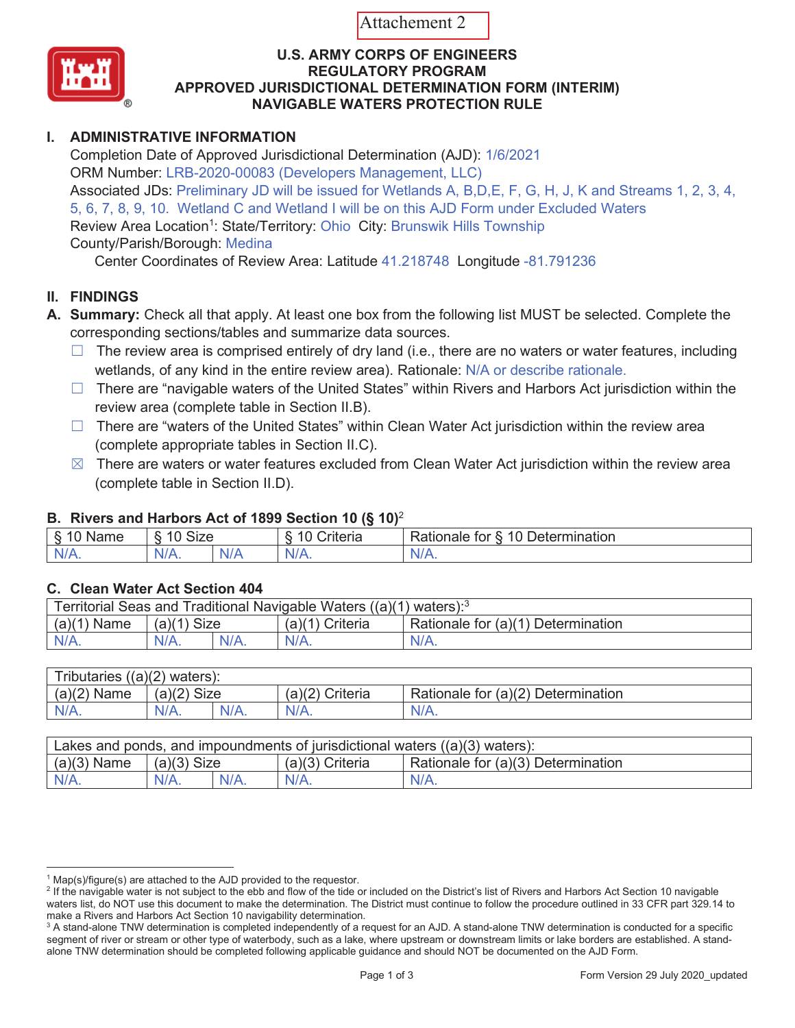Attachement 2



### **U.S. ARMY CORPS OF ENGINEERS REGULATORY PROGRAM APPROVED JURISDICTIONAL DETERMINATION FORM (INTERIM) NAVIGABLE WATERS PROTECTION RULE**

# **I. ADMINISTRATIVE INFORMATION**

Completion Date of Approved Jurisdictional Determination (AJD): 1/6/2021 ORM Number: LRB-2020-00083 (Developers Management, LLC) Associated JDs: Preliminary JD will be issued for Wetlands A, B,D,E, F, G, H, J, K and Streams 1, 2, 3, 4, 5, 6, 7, 8, 9, 10. Wetland C and Wetland I will be on this AJD Form under Excluded Waters Review Area Location<sup>1</sup>: State/Territory: Ohio City: Brunswik Hills Township County/Parish/Borough: Medina

Center Coordinates of Review Area: Latitude 41.218748 Longitude -81.791236

# **II. FINDINGS**

- **A. Summary:** Check all that apply. At least one box from the following list MUST be selected. Complete the corresponding sections/tables and summarize data sources.
	- $\Box$  The review area is comprised entirely of dry land (i.e., there are no waters or water features, including wetlands, of any kind in the entire review area). Rationale: N/A or describe rationale.
	- $\Box$  There are "navigable waters of the United States" within Rivers and Harbors Act jurisdiction within the review area (complete table in Section II.B).
	- □ There are "waters of the United States" within Clean Water Act jurisdiction within the review area (complete appropriate tables in Section II.C).
	- $\boxtimes$  There are waters or water features excluded from Clean Water Act jurisdiction within the review area (complete table in Section II.D).

## **B. Rivers and Harbors Act of 1899 Section 10 (§ 10)**<sup>2</sup>

| $\cdot$               |                                                          |  |                           |                                                                                                     |  |
|-----------------------|----------------------------------------------------------|--|---------------------------|-----------------------------------------------------------------------------------------------------|--|
| $\sim$<br><b>Name</b> | $\sim$<br>$\sim$<br>-<br>$\cdot$ . – .<br>ש∠וכ<br>$\sim$ |  | $\cdots$<br>-<br>`riteria | $\overline{A}$ $\overline{D}$<br>$\overline{\phantom{0}}$<br>⊃etermınatıon<br>tor<br>tionale<br>,a' |  |
| $N^{\prime}$<br>.     | N/A.                                                     |  | $N^{\prime}$<br><b>17</b> | N<br>.                                                                                              |  |

# **C. Clean Water Act Section 404**

| Territorial Seas and Traditional Navigable Waters $((a)(1)$ waters): <sup>3</sup> |                |  |                   |                                    |  |
|-----------------------------------------------------------------------------------|----------------|--|-------------------|------------------------------------|--|
| (a)(1)<br>Name                                                                    | Size<br>(a)(1) |  | $(a)(1)$ Criteria | Rationale for (a)(1) Determination |  |
|                                                                                   | $N/A$ .        |  | $N/A$ .           | $N/A$ .                            |  |

| Tributaries $((a)(2)$ waters): |               |         |                    |                                    |  |
|--------------------------------|---------------|---------|--------------------|------------------------------------|--|
| $(a)(2)$ Name                  | $(a)(2)$ Size |         | (a)(2)<br>Criteria | Rationale for (a)(2) Determination |  |
| N/A.                           | $N/A$ .       | $N/A$ . | $N/A$ .            | $N/A$ .                            |  |

| Lakes and ponds, and impoundments of jurisdictional waters $((a)(3)$ waters): |               |         |                   |                                    |  |
|-------------------------------------------------------------------------------|---------------|---------|-------------------|------------------------------------|--|
| $(a)(3)$ Name                                                                 | $(a)(3)$ Size |         | $(a)(3)$ Criteria | Rationale for (a)(3) Determination |  |
|                                                                               | $N/A$ .       | $N/A$ . | $N/A$ .           | $N/A$ .                            |  |

 $1$  Map(s)/figure(s) are attached to the AJD provided to the requestor.

<sup>&</sup>lt;sup>2</sup> If the navigable water is not subject to the ebb and flow of the tide or included on the District's list of Rivers and Harbors Act Section 10 navigable waters list, do NOT use this document to make the determination. The District must continue to follow the procedure outlined in 33 CFR part 329.14 to make a Rivers and Harbors Act Section 10 navigability determination.

 $^3$  A stand-alone TNW determination is completed independently of a request for an AJD. A stand-alone TNW determination is conducted for a specific segment of river or stream or other type of waterbody, such as a lake, where upstream or downstream limits or lake borders are established. A standalone TNW determination should be completed following applicable guidance and should NOT be documented on the AJD Form.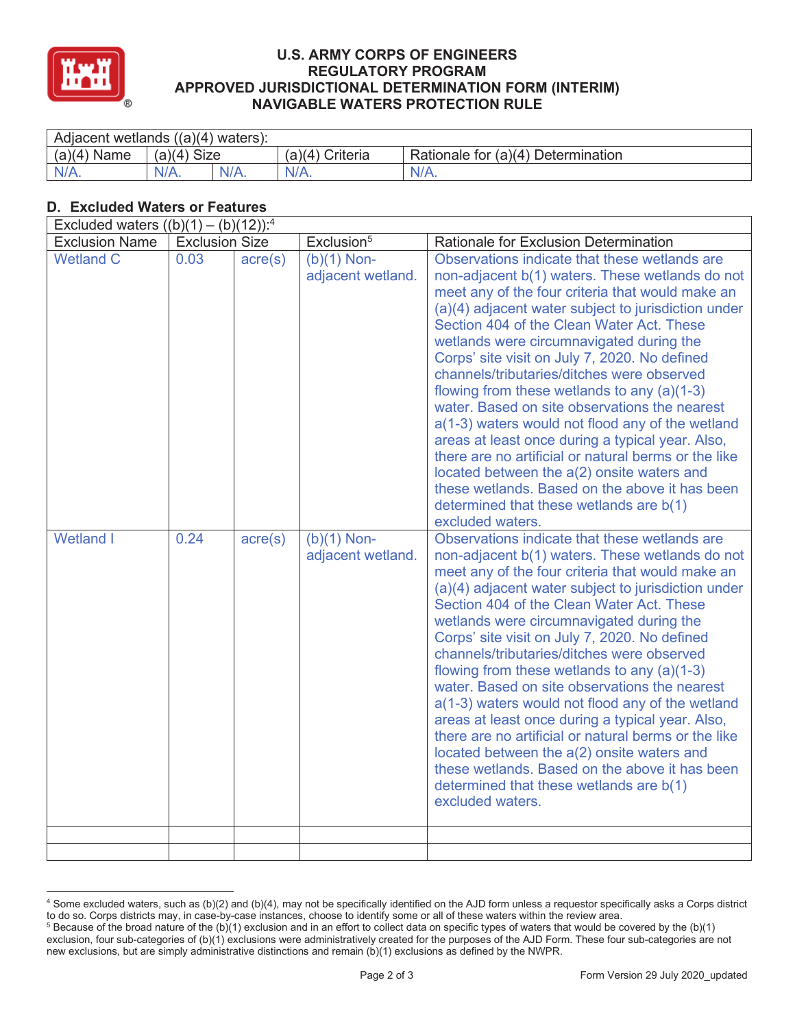

### **U.S. ARMY CORPS OF ENGINEERS REGULATORY PROGRAM APPROVED JURISDICTIONAL DETERMINATION FORM (INTERIM) NAVIGABLE WATERS PROTECTION RULE**

| Adjacent wetlands $((a)(4)$ waters): |                       |  |                    |                                    |  |
|--------------------------------------|-----------------------|--|--------------------|------------------------------------|--|
| (a)(4)<br>Name                       | <b>Size</b><br>(a)(4) |  | Criteria<br>(a)(4) | Rationale for (a)(4) Determination |  |
| $N/A$ .                              | $N/A$ .               |  | $N/A$ .            | $N/A$ .                            |  |

# **D. Excluded Waters or Features**

| Excluded waters $((b)(1) - (b)(12))$ : <sup>4</sup> |                       |                  |                                    |                                                                                                                                                                                                                                                                                                                                                                                                                                                                                                                                                                                                                                                                                                                                                                                                                                      |  |
|-----------------------------------------------------|-----------------------|------------------|------------------------------------|--------------------------------------------------------------------------------------------------------------------------------------------------------------------------------------------------------------------------------------------------------------------------------------------------------------------------------------------------------------------------------------------------------------------------------------------------------------------------------------------------------------------------------------------------------------------------------------------------------------------------------------------------------------------------------------------------------------------------------------------------------------------------------------------------------------------------------------|--|
| <b>Exclusion Name</b>                               | <b>Exclusion Size</b> |                  | Exclusion <sup>5</sup>             | Rationale for Exclusion Determination                                                                                                                                                                                                                                                                                                                                                                                                                                                                                                                                                                                                                                                                                                                                                                                                |  |
| <b>Wetland C</b>                                    | 0.03                  | $\text{acre}(s)$ | $(b)(1)$ Non-<br>adjacent wetland. | Observations indicate that these wetlands are<br>non-adjacent b(1) waters. These wetlands do not<br>meet any of the four criteria that would make an<br>(a)(4) adjacent water subject to jurisdiction under<br>Section 404 of the Clean Water Act. These<br>wetlands were circumnavigated during the<br>Corps' site visit on July 7, 2020. No defined<br>channels/tributaries/ditches were observed<br>flowing from these wetlands to any (a)(1-3)<br>water. Based on site observations the nearest<br>a(1-3) waters would not flood any of the wetland<br>areas at least once during a typical year. Also,<br>there are no artificial or natural berms or the like<br>located between the a(2) onsite waters and<br>these wetlands. Based on the above it has been<br>determined that these wetlands are b(1)<br>excluded waters.   |  |
| <b>Wetland I</b>                                    | 0.24                  | acre(s)          | $(b)(1)$ Non-<br>adjacent wetland. | Observations indicate that these wetlands are<br>non-adjacent b(1) waters. These wetlands do not<br>meet any of the four criteria that would make an<br>(a)(4) adjacent water subject to jurisdiction under<br>Section 404 of the Clean Water Act. These<br>wetlands were circumnavigated during the<br>Corps' site visit on July 7, 2020. No defined<br>channels/tributaries/ditches were observed<br>flowing from these wetlands to any $(a)(1-3)$<br>water. Based on site observations the nearest<br>a(1-3) waters would not flood any of the wetland<br>areas at least once during a typical year. Also,<br>there are no artificial or natural berms or the like<br>located between the a(2) onsite waters and<br>these wetlands. Based on the above it has been<br>determined that these wetlands are b(1)<br>excluded waters. |  |
|                                                     |                       |                  |                                    |                                                                                                                                                                                                                                                                                                                                                                                                                                                                                                                                                                                                                                                                                                                                                                                                                                      |  |

<sup>4</sup> Some excluded waters, such as (b)(2) and (b)(4), may not be specifically identified on the AJD form unless a requestor specifically asks a Corps district to do so. Corps districts may, in case-by-case instances, choose to identify some or all of these waters within the review area. 5

<sup>&</sup>lt;sup>5</sup> Because of the broad nature of the (b)(1) exclusion and in an effort to collect data on specific types of waters that would be covered by the (b)(1) exclusion, four sub-categories of (b)(1) exclusions were administratively created for the purposes of the AJD Form. These four sub-categories are not new exclusions, but are simply administrative distinctions and remain (b)(1) exclusions as defined by the NWPR.